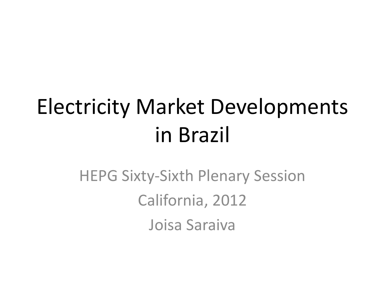# Electricity Market Developments in Brazil

HEPG Sixty-Sixth Plenary Session California, 2012 Joisa Saraiva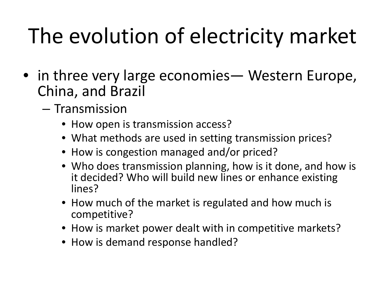# The evolution of electricity market

- in three very large economies— Western Europe, China, and Brazil
	- Transmission
		- How open is transmission access?
		- What methods are used in setting transmission prices?
		- How is congestion managed and/or priced?
		- Who does transmission planning, how is it done, and how is it decided? Who will build new lines or enhance existing lines?
		- How much of the market is regulated and how much is competitive?
		- How is market power dealt with in competitive markets?
		- How is demand response handled?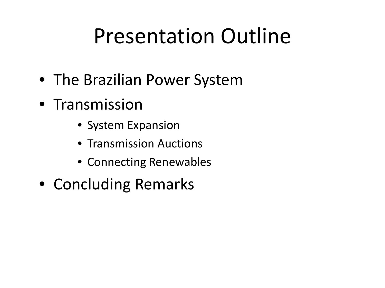## Presentation Outline

- The Brazilian Power System
- Transmission
	- System Expansion
	- Transmission Auctions
	- Connecting Renewables
- Concluding Remarks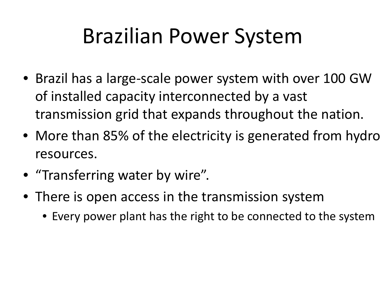## Brazilian Power System

- Brazil has a large-scale power system with over 100 GW of installed capacity interconnected by a vast transmission grid that expands throughout the nation.
- More than 85% of the electricity is generated from hydro resources.
- "Transferring water by wire".
- There is open access in the transmission system
	- Every power plant has the right to be connected to the system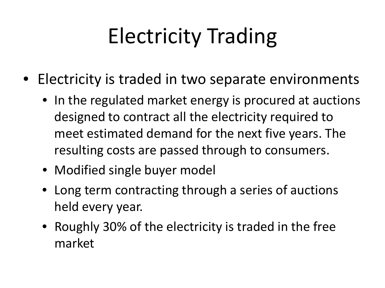# Electricity Trading

- Electricity is traded in two separate environments
	- In the regulated market energy is procured at auctions designed to contract all the electricity required to meet estimated demand for the next five years. The resulting costs are passed through to consumers.
	- Modified single buyer model
	- Long term contracting through a series of auctions held every year.
	- Roughly 30% of the electricity is traded in the free market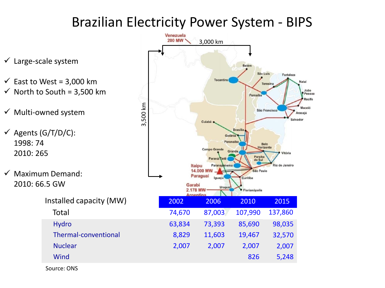#### Brazilian Electricity Power System - BIPS

- $\checkmark$  Large-scale system
- $\checkmark$  East to West = 3,000 km  $\checkmark$  North to South = 3,500 km
- $\checkmark$  Multi-owned system
- $\checkmark$  Agents (G/T/D/C): 1998: 74 2010: 265
- $\checkmark$  Maximum Demand: 2010: 66.5 GW
	- -



Source: ONS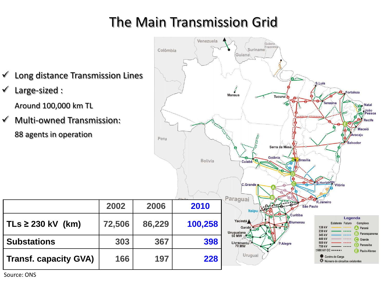### The Main Transmission Grid



Source: ONS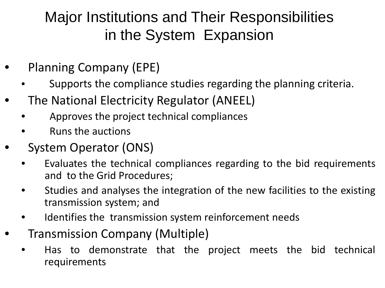### Major Institutions and Their Responsibilities in the System Expansion

- Planning Company (EPE)
	- Supports the compliance studies regarding the planning criteria.
- The National Electricity Regulator (ANEEL)
	- Approves the project technical compliances
	- Runs the auctions
- System Operator (ONS)
	- Evaluates the technical compliances regarding to the bid requirements and to the Grid Procedures;
	- Studies and analyses the integration of the new facilities to the existing transmission system; and
	- Identifies the transmission system reinforcement needs
- Transmission Company (Multiple)
	- Has to demonstrate that the project meets the bid technical requirements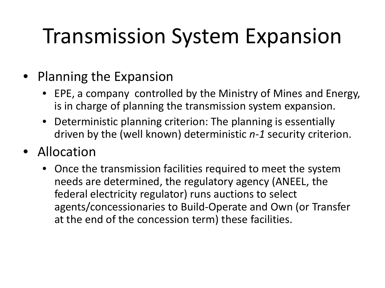# Transmission System Expansion

#### • Planning the Expansion

- EPE, a company controlled by the Ministry of Mines and Energy, is in charge of planning the transmission system expansion.
- Deterministic planning criterion: The planning is essentially driven by the (well known) deterministic *n-1* security criterion.
- Allocation
	- Once the transmission facilities required to meet the system needs are determined, the regulatory agency (ANEEL, the federal electricity regulator) runs auctions to select agents/concessionaries to Build-Operate and Own (or Transfer at the end of the concession term) these facilities.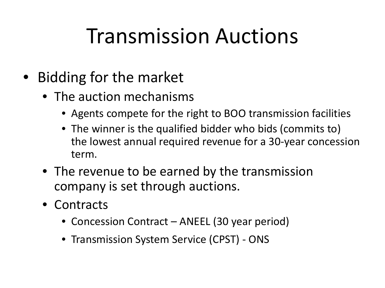### Transmission Auctions

- Bidding for the market
	- The auction mechanisms
		- Agents compete for the right to BOO transmission facilities
		- The winner is the qualified bidder who bids (commits to) the lowest annual required revenue for a 30-year concession term.
	- The revenue to be earned by the transmission company is set through auctions.
	- Contracts
		- Concession Contract ANEEL (30 year period)
		- Transmission System Service (CPST) ONS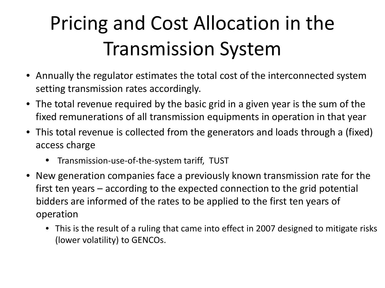## Pricing and Cost Allocation in the Transmission System

- Annually the regulator estimates the total cost of the interconnected system setting transmission rates accordingly.
- The total revenue required by the basic grid in a given year is the sum of the fixed remunerations of all transmission equipments in operation in that year
- This total revenue is collected from the generators and loads through a (fixed) access charge
	- Transmission-use-of-the-system tariff, TUST
- New generation companies face a previously known transmission rate for the first ten years – according to the expected connection to the grid potential bidders are informed of the rates to be applied to the first ten years of operation
	- This is the result of a ruling that came into effect in 2007 designed to mitigate risks (lower volatility) to GENCOs.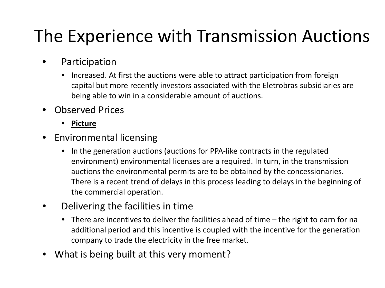### The Experience with Transmission Auctions

- Participation
	- Increased. At first the auctions were able to attract participation from foreign capital but more recently investors associated with the Eletrobras subsidiaries are being able to win in a considerable amount of auctions.
- Observed Prices
	- **Picture**
- Environmental licensing
	- In the generation auctions (auctions for PPA-like contracts in the regulated environment) environmental licenses are a required. In turn, in the transmission auctions the environmental permits are to be obtained by the concessionaries. There is a recent trend of delays in this process leading to delays in the beginning of the commercial operation.
- Delivering the facilities in time
	- There are incentives to deliver the facilities ahead of time the right to earn for na additional period and this incentive is coupled with the incentive for the generation company to trade the electricity in the free market.
- What is being built at this very moment?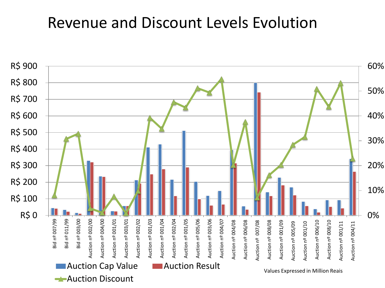#### Revenue and Discount Levels Evolution

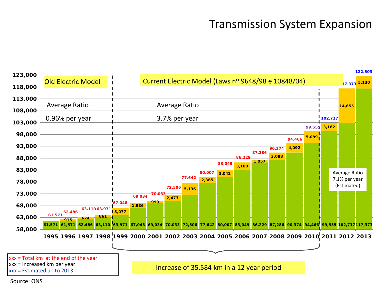#### Transmission System Expansion



Source: ONS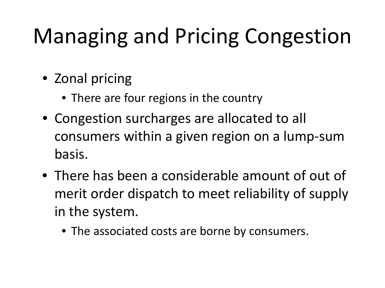# Managing and Pricing Congestion

- Zonal pricing
	- There are four regions in the country
- Congestion surcharges are allocated to all consumers within a given region on a lump-sum basis.
- There has been a considerable amount of out of merit order dispatch to meet reliability of supply in the system.
	- The associated costs are borne by consumers.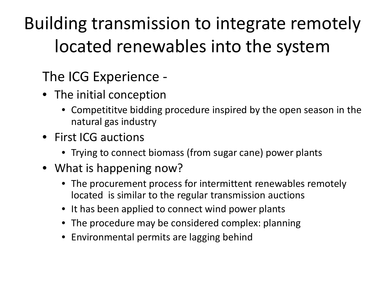Building transmission to integrate remotely located renewables into the system

### The ICG Experience -

- The initial conception
	- Competititve bidding procedure inspired by the open season in the natural gas industry
- First ICG auctions
	- Trying to connect biomass (from sugar cane) power plants
- What is happening now?
	- The procurement process for intermittent renewables remotely located is similar to the regular transmission auctions
	- It has been applied to connect wind power plants
	- The procedure may be considered complex: planning
	- Environmental permits are lagging behind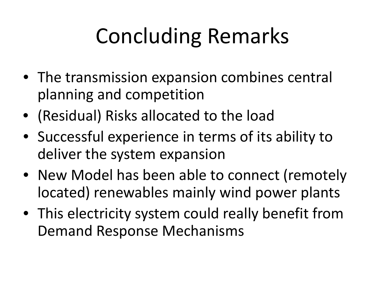# Concluding Remarks

- The transmission expansion combines central planning and competition
- (Residual) Risks allocated to the load
- Successful experience in terms of its ability to deliver the system expansion
- New Model has been able to connect (remotely located) renewables mainly wind power plants
- This electricity system could really benefit from Demand Response Mechanisms